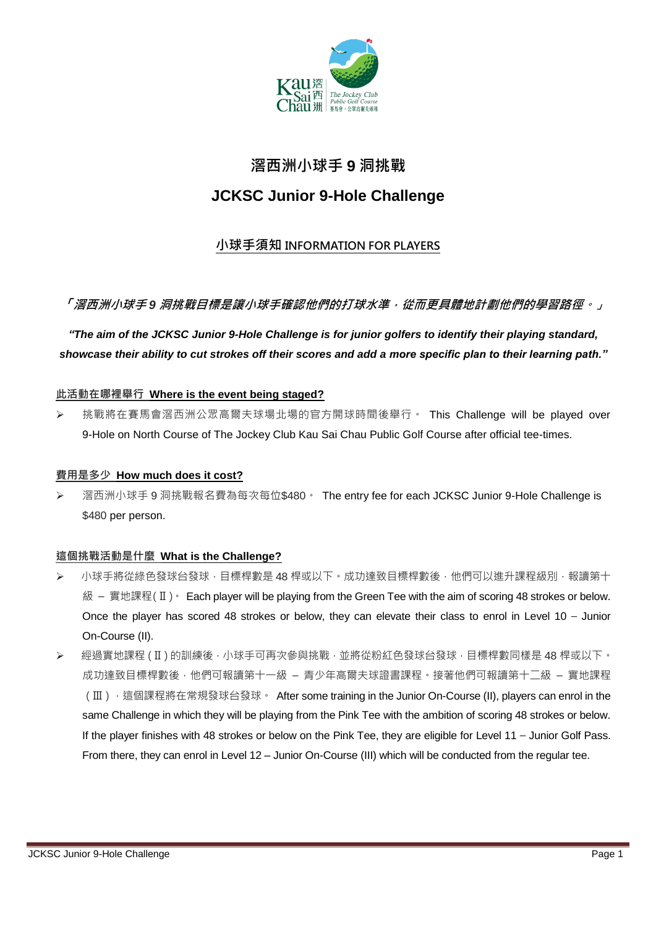

# 滘西洲小球手 **9** 洞挑戰

# **JCKSC Junior 9-Hole Challenge**

# 小球手須知 INFORMATION FOR PLAYERS

# 「滘西洲小球手9 洞挑戰目標是讓小球手確認他們的打球水準, 從而更具體地計劃他們的學習路徑。」

*"The aim of the JCKSC Junior 9-Hole Challenge is for junior golfers to identify their playing standard, showcase their ability to cut strokes off their scores and add a more specific plan to their learning path."*

### 此活動在哪裡舉行 **Where is the event being staged?**

▶ 挑戰將在賽馬會滘西洲公眾高爾夫球場北場的官方開球時間後舉行。 This Challenge will be played over 9-Hole on North Course of The Jockey Club Kau Sai Chau Public Golf Course after official tee-times.

#### 費用是多少 **How much does it cost?**

 滘西洲小球手 9 洞挑戰報名費為每次每位\$480。 The entry fee for each JCKSC Junior 9-Hole Challenge is \$480 per person.

# 這個挑戰活動是什麼 **What is the Challenge?**

- ▶ 小球手將從綠色發球台發球,目標桿數是 48 桿或以下。成功達致目標桿數後,他們可以進升課程級別,報讀第十 級 – 實地課程(II)。 Each player will be playing from the Green Tee with the aim of scoring 48 strokes or below. Once the player has scored 48 strokes or below, they can elevate their class to enrol in Level 10 – Junior On-Course (II).
- > 經過實地課程(Ⅱ)的訓練後,小球手可再次參與挑戰,並將從粉紅色發球台發球,目標桿數同樣是 48 桿或以下。 成功達致目標桿數後,他們可報讀第十一級 – 青少年高爾夫球證書課程,接著他們可報讀第十二級 – 實地課程 (III), 這個課程將在常規發球台發球。 After some training in the Junior On-Course (II), players can enrol in the same Challenge in which they will be playing from the Pink Tee with the ambition of scoring 48 strokes or below. If the player finishes with 48 strokes or below on the Pink Tee, they are eligible for Level 11 – Junior Golf Pass. From there, they can enrol in Level 12 – Junior On-Course (III) which will be conducted from the regular tee.